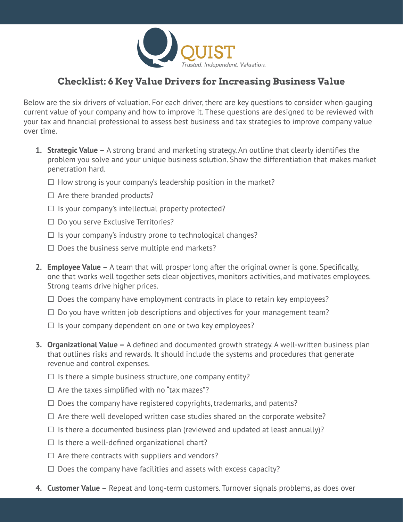

## **Checklist: 6 Key Value Drivers for Increasing Business Value**

Below are the six drivers of valuation. For each driver, there are key questions to consider when gauging current value of your company and how to improve it. These questions are designed to be reviewed with your tax and financial professional to assess best business and tax strategies to improve company value over time.

- **1. Strategic Value –** A strong brand and marketing strategy. An outline that clearly identifies the problem you solve and your unique business solution. Show the differentiation that makes market penetration hard.
	- $\Box$  How strong is your company's leadership position in the market?
	- $\Box$  Are there branded products?
	- $\Box$  Is your company's intellectual property protected?
	- □ Do you serve Exclusive Territories?
	- $\Box$  Is your company's industry prone to technological changes?
	- $\Box$  Does the business serve multiple end markets?
- **2. Employee Value –** A team that will prosper long after the original owner is gone. Specifically, one that works well together sets clear objectives, monitors activities, and motivates employees. Strong teams drive higher prices.
	- $\Box$  Does the company have employment contracts in place to retain key employees?
	- $\Box$  Do you have written job descriptions and objectives for your management team?
	- $\Box$  Is your company dependent on one or two key employees?
- **3. Organizational Value –** A defined and documented growth strategy. A well-written business plan that outlines risks and rewards. It should include the systems and procedures that generate revenue and control expenses.
	- $\Box$  Is there a simple business structure, one company entity?
	- $\Box$  Are the taxes simplified with no "tax mazes"?
	- $\Box$  Does the company have registered copyrights, trademarks, and patents?
	- $\square$  Are there well developed written case studies shared on the corporate website?
	- $\Box$  Is there a documented business plan (reviewed and updated at least annually)?
	- $\square$  Is there a well-defined organizational chart?
	- $\Box$  Are there contracts with suppliers and vendors?
	- $\Box$  Does the company have facilities and assets with excess capacity?
- **4. Customer Value –** Repeat and long-term customers. Turnover signals problems, as does over